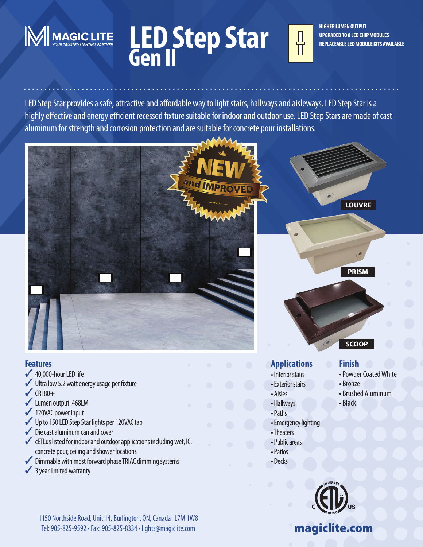

## **LED Step Star Gen II**

 $\frac{1}{11}$ 

**HIGHER LUMEN OUTPUT UPGRADED TO 8 LED CHIP MODULES REPLACEABLE LED MODULE KITS AVAILABLE**

LED Step Star provides a safe, attractive and affordable way to light stairs, hallways and aisleways. LED Step Star is a highly effective and energy efficient recessed fixture suitable for indoor and outdoor use. LED Step Stars are made of cast aluminum for strength and corrosion protection and are suitable for concrete pour installations.



- concrete pour, ceiling and shower locations  $\blacktriangleright$  Dimmable with most forward phase TRIAC dimming systems
- $\checkmark$  3 year limited warranty

1150 Northside Road, Unit 14, Burlington, ON, Canada L7M 1W8 Tel: 905-825-9592 • Fax: 905-825-8334 • lights@magiclite.com **magiclite.com** 



• Decks